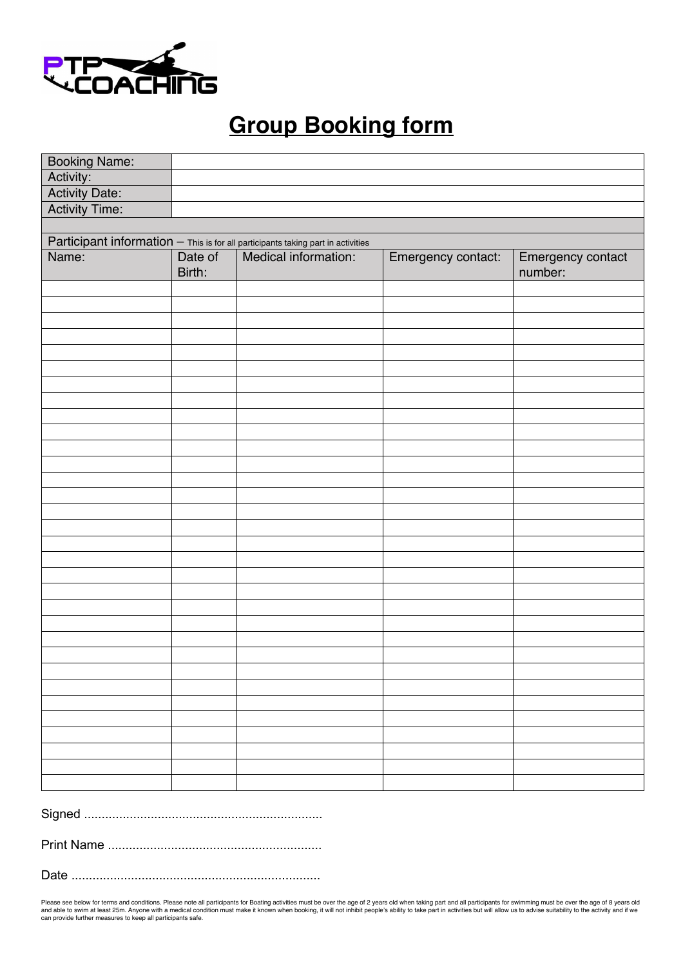

# **Group Booking form**

| <b>Booking Name:</b>                                                             |         |                      |                    |                   |
|----------------------------------------------------------------------------------|---------|----------------------|--------------------|-------------------|
| Activity:                                                                        |         |                      |                    |                   |
| <b>Activity Date:</b>                                                            |         |                      |                    |                   |
| <b>Activity Time:</b>                                                            |         |                      |                    |                   |
|                                                                                  |         |                      |                    |                   |
| Participant information - This is for all participants taking part in activities |         |                      |                    |                   |
| Name:                                                                            | Date of | Medical information: | Emergency contact: | Emergency contact |
|                                                                                  | Birth:  |                      |                    | number:           |
|                                                                                  |         |                      |                    |                   |
|                                                                                  |         |                      |                    |                   |
|                                                                                  |         |                      |                    |                   |
|                                                                                  |         |                      |                    |                   |
|                                                                                  |         |                      |                    |                   |
|                                                                                  |         |                      |                    |                   |
|                                                                                  |         |                      |                    |                   |
|                                                                                  |         |                      |                    |                   |
|                                                                                  |         |                      |                    |                   |
|                                                                                  |         |                      |                    |                   |
|                                                                                  |         |                      |                    |                   |
|                                                                                  |         |                      |                    |                   |
|                                                                                  |         |                      |                    |                   |
|                                                                                  |         |                      |                    |                   |
|                                                                                  |         |                      |                    |                   |
|                                                                                  |         |                      |                    |                   |
|                                                                                  |         |                      |                    |                   |
|                                                                                  |         |                      |                    |                   |
|                                                                                  |         |                      |                    |                   |
|                                                                                  |         |                      |                    |                   |
|                                                                                  |         |                      |                    |                   |
|                                                                                  |         |                      |                    |                   |
|                                                                                  |         |                      |                    |                   |
|                                                                                  |         |                      |                    |                   |
|                                                                                  |         |                      |                    |                   |
|                                                                                  |         |                      |                    |                   |
|                                                                                  |         |                      |                    |                   |
|                                                                                  |         |                      |                    |                   |
|                                                                                  |         |                      |                    |                   |
|                                                                                  |         |                      |                    |                   |
|                                                                                  |         |                      |                    |                   |

Signed ....................................................................

Print Name .............................................................

Date .......................................................................

Please see below for terms and conditions. Please note all participants for Boating activities must be over the age of 2 years old men taking part and all participants for swimming must be over the age of 8 years old and able to swim at least 25m. Anyone with a medical condition must make it known when booking, it will not inhibit people's ability to take part in activities but will allow us to advise suitability to the activity and if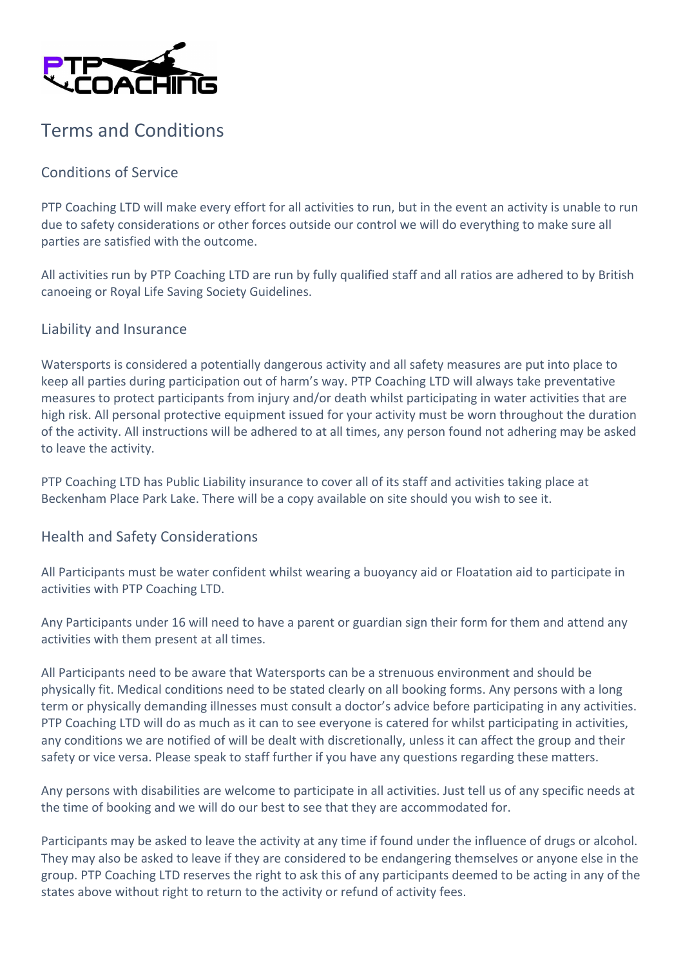

## Terms and Conditions

### Conditions of Service

PTP Coaching LTD will make every effort for all activities to run, but in the event an activity is unable to run due to safety considerations or other forces outside our control we will do everything to make sure all parties are satisfied with the outcome.

All activities run by PTP Coaching LTD are run by fully qualified staff and all ratios are adhered to by British canoeing or Royal Life Saving Society Guidelines.

#### Liability and Insurance

Watersports is considered a potentially dangerous activity and all safety measures are put into place to keep all parties during participation out of harm's way. PTP Coaching LTD will always take preventative measures to protect participants from injury and/or death whilst participating in water activities that are high risk. All personal protective equipment issued for your activity must be worn throughout the duration of the activity. All instructions will be adhered to at all times, any person found not adhering may be asked to leave the activity.

PTP Coaching LTD has Public Liability insurance to cover all of its staff and activities taking place at Beckenham Place Park Lake. There will be a copy available on site should you wish to see it.

#### Health and Safety Considerations

All Participants must be water confident whilst wearing a buoyancy aid or Floatation aid to participate in activities with PTP Coaching LTD.

Any Participants under 16 will need to have a parent or guardian sign their form for them and attend any activities with them present at all times.

All Participants need to be aware that Watersports can be a strenuous environment and should be physically fit. Medical conditions need to be stated clearly on all booking forms. Any persons with a long term or physically demanding illnesses must consult a doctor's advice before participating in any activities. PTP Coaching LTD will do as much as it can to see everyone is catered for whilst participating in activities, any conditions we are notified of will be dealt with discretionally, unless it can affect the group and their safety or vice versa. Please speak to staff further if you have any questions regarding these matters.

Any persons with disabilities are welcome to participate in all activities. Just tell us of any specific needs at the time of booking and we will do our best to see that they are accommodated for.

Participants may be asked to leave the activity at any time if found under the influence of drugs or alcohol. They may also be asked to leave if they are considered to be endangering themselves or anyone else in the group. PTP Coaching LTD reserves the right to ask this of any participants deemed to be acting in any of the states above without right to return to the activity or refund of activity fees.